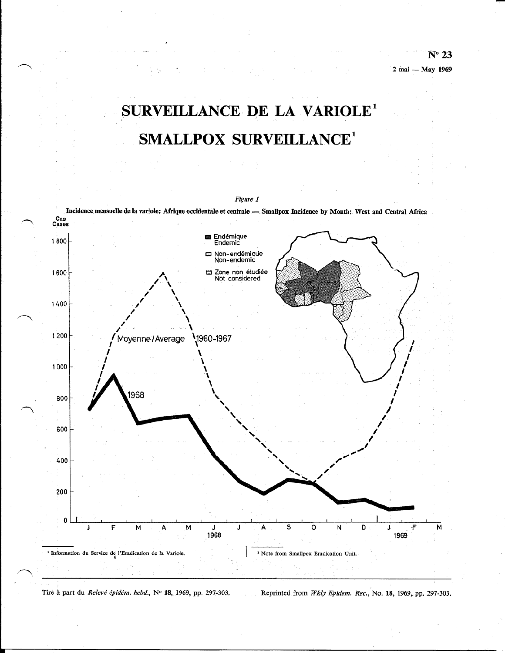# SURVEILLANCE DE LA VARIOLE<sup>1</sup> **SMALLPOX SURVEILLANCE<sup>1</sup>**



Reprinted from Wkly Epidem. Rec., No. 18, 1969, pp. 297-303. Tiré à part du Relevé épidém. hebd., Nº 18, 1969, pp. 297-303.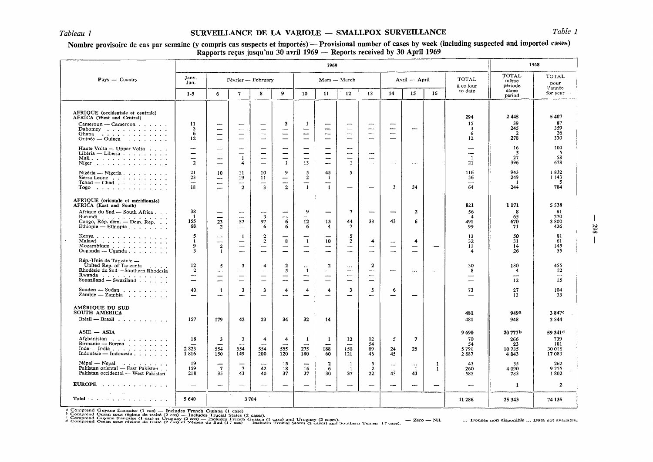## *Tableau 1* SURVEILLANCE DE LA VARIOLE - SMALLPOX SURVEILLANCE *Table 1*

## Nombre provisoire de cas par semaine (y compris cas suspects et importés) — Provisional number of cases by week (including suspected and imported cases) Rapports reçus jusqu'au 30 avril 1969 - Reports received by 30 April 1969

|                                                                                                                                                                                                                          | 1969                                                        |                                                                                                              |                                                                                             |                                                                        |                                                                   |                                                                           |                                                                                                 | 1968                                                                           |                                                                                                       |                                      |                                |                          |                                                                            |                                          |                                                          |
|--------------------------------------------------------------------------------------------------------------------------------------------------------------------------------------------------------------------------|-------------------------------------------------------------|--------------------------------------------------------------------------------------------------------------|---------------------------------------------------------------------------------------------|------------------------------------------------------------------------|-------------------------------------------------------------------|---------------------------------------------------------------------------|-------------------------------------------------------------------------------------------------|--------------------------------------------------------------------------------|-------------------------------------------------------------------------------------------------------|--------------------------------------|--------------------------------|--------------------------|----------------------------------------------------------------------------|------------------------------------------|----------------------------------------------------------|
| Pays - Country                                                                                                                                                                                                           | Janv.<br>Jan.                                               | Février -- February                                                                                          |                                                                                             |                                                                        | Mars - March                                                      |                                                                           |                                                                                                 | Avril - April                                                                  |                                                                                                       |                                      | <b>TOTAL</b><br>à ce jour      | TOTAL<br>même<br>période | <b>TOTAL</b><br>pour<br>l'année                                            |                                          |                                                          |
|                                                                                                                                                                                                                          | $1 - 5$                                                     | 6                                                                                                            | 7                                                                                           | 8                                                                      | 9                                                                 | 10                                                                        | 11                                                                                              | 12                                                                             | 13                                                                                                    | 14                                   | 15                             | 16                       | to date                                                                    | same<br>period                           | for year                                                 |
| AFRIQUE (occidentale et centrale)<br>AFRICA (West and Central)<br>$Camerown - Cameroom \dots \dots$<br>Dahomey<br>Ghana<br>$Guinée$ - Guinea $\cdots$ $\cdots$ $\cdots$                                                  | 11<br>3<br>6<br>12                                          | $\overline{\phantom{a}}$<br>$\overline{\phantom{a}}$<br>$\overline{\phantom{m}}$<br>$\overline{\phantom{a}}$ | -<br>$\overline{\phantom{a}}$<br>$\overbrace{\phantom{123221111}}$<br>—                     | $\hspace{0.05cm}$<br>—                                                 | 3<br>$\overline{\phantom{a}}$<br>$\qquad \qquad$                  | $\mathbf{I}$<br>$\overline{\phantom{0}}$<br>—<br>$\overline{\phantom{0}}$ | -<br>--<br>--                                                                                   | --<br>-<br>-                                                                   | $\overline{\phantom{a}}$<br>$-\cdot$<br>$\overline{\phantom{m}}$<br>$\overbrace{\phantom{aaaaa}}$     | -<br>$\overline{\phantom{0}}$<br>—   | ---                            |                          | 294<br>15<br>3<br>6<br>12                                                  | 2445<br>39<br>245<br>$\mathbf{2}$<br>278 | 5407<br>87<br>359<br>26<br>330                           |
| Haute Volta - Upper Volta<br>Libéria — Liberia $\cdots$<br>Mali<br>Niger $\ldots$ $\ldots$ $\ldots$ $\ldots$ $\ldots$                                                                                                    | $\overline{\phantom{0}}$<br>—<br>$\overline{2}$             | $\overline{\phantom{m}}$<br>—<br>—<br>$\overline{\phantom{m}}$                                               | ---<br>-<br>1<br>4                                                                          | -<br>$\overline{\phantom{0}}$<br>---<br>$\qquad \qquad -$              | ---<br>$\overline{\phantom{0}}$<br>—<br>$\mathbf{1}$              | -<br>---<br>---<br>13                                                     | $\overbrace{\phantom{13333}}$<br>$\overline{\phantom{0}}$<br>—<br>-                             | -<br>$\overline{\phantom{a}}$<br>$\mathbf{1}$                                  | $\overline{\phantom{m}}$<br>$\overline{\phantom{a}}$<br>$\overline{\phantom{a}}$                      | $\overline{\phantom{0}}$             | --                             |                          | $\overline{\phantom{m}}$<br>$\overline{\phantom{a}}$<br>$\mathbf{1}$<br>21 | 16<br>-5<br>27<br>396                    | 100<br>- 5<br>58<br>678                                  |
| Nigéria — Nigeria $\cdots$ $\cdots$ $\cdots$<br>Sierra Leone<br>$Tchad$ - $Chad$<br>$\text{Togo}$                                                                                                                        | 21<br>23<br>$\overline{\phantom{a}}$<br>18                  | 10<br>-<br>$\overline{\phantom{m}}$<br>$\overline{\phantom{0}}$                                              | 11<br>19<br>$\overline{\phantom{a}}$<br>$\overline{2}$                                      | 10<br>11<br>—<br>$\overline{\mathbf{3}}$                               | 9<br>$\overline{\phantom{m}}$<br>---<br>$\overline{2}$            | 5<br>$\mathbf{2}$<br>$\overline{\phantom{0}}$<br>$\mathbf{1}$             | 45<br>-1<br>$\overline{\phantom{m}}$<br>$\mathbf{1}$                                            | 5.<br>—                                                                        | $\overline{\phantom{a}}$                                                                              | 3                                    | 34                             |                          | 116<br>56<br>$\overline{\phantom{a}}$<br>64                                | 943<br>249<br>- 1<br>244                 | 1832<br>1 1 4 3<br>-5<br>784                             |
| AFRIQUE (orientale et méridionale)<br><b>AFRICA</b> (East and South)<br>Afrique du Sud — South Africa<br>Burundi $\ldots$ , $\ldots$ , $\ldots$ , $\ldots$<br>Congo, Rép. dém. - Dem. Rep.<br>Ethiopie — Ethiopia        | 38<br>-1<br>155<br>68                                       | ---<br>23<br>$\mathbf{2}$                                                                                    | ---<br>57<br>--                                                                             | $\overline{\mathbf{3}}$<br>97<br>6                                     | -<br>--<br>6<br>6                                                 | 9<br>12<br>6                                                              | $\overline{\phantom{m}}$<br>15<br>4                                                             | 7<br>44<br>7                                                                   | 33                                                                                                    | 43                                   | $\overline{a}$<br>6            |                          | 821<br>56<br>4<br>491<br>99                                                | 1 1 7 1<br>8<br>65<br>670<br>71          | 5538<br>-81<br>270<br>3800<br>426                        |
| Kenya<br>Malawi<br>Mozambique $\ldots$<br>$Ouganda - Uganda \dots$                                                                                                                                                       | 5<br>-1.<br>9<br>3                                          | ÷<br>--<br>$\overline{a}$<br>$\mathbf{1}$                                                                    | 1<br>$\qquad \qquad \longleftarrow$<br>$\overline{\phantom{a}}$<br>$\overline{\phantom{a}}$ | $\boldsymbol{2}$<br>$\mathbf{2}$<br>$\overline{\phantom{0}}$<br>للمسلم | 8<br>$\overline{\phantom{m}}$<br>$\overline{\phantom{m}}$         | 1<br>--<br>——                                                             | —<br>10<br>$\overline{\phantom{m}}$<br>$\overline{\phantom{m}}$                                 | 5<br>$\mathbf{2}$<br>$\overbrace{\phantom{13333}}$<br>$\overline{\phantom{0}}$ | 4<br>$\overline{\phantom{m}}$<br>$\equiv$                                                             | $\cdots$<br>$\qquad \qquad -$<br>--  | 4<br>—<br>-                    |                          | 13<br>32<br>11<br>4                                                        | 50<br>31<br>14<br>26                     | 81<br>61<br>145<br>55                                    |
| Rép.-Unie de Tanzanie --<br>United Rep. of Tanzania<br>Rhodésie du Sud - Southern Rhodesia<br>Rwanda<br>Souaziland $-$ Swaziland $\ldots$ $\ldots$<br>Soudan $-$ Sudan $\ldots$ $\ldots$ $\ldots$<br>$Zambie - Zambia$ , | 12<br>$\overline{2}$<br>-<br>$\overline{\phantom{0}}$<br>40 | 5<br>-<br>$\overline{\phantom{m}}$<br>-<br>$\mathbf{1}$<br>---                                               | 3<br>$\sim$<br>$\overline{\phantom{0}}$<br>3<br>----                                        | 4<br>----<br>$\overline{\phantom{0}}$<br>-<br>3                        | $\overline{a}$<br>5<br>$\overline{\phantom{m}}$<br>--<br>4<br>--- | $\cdots$<br>-1<br>--<br>$\overline{\phantom{0}}$<br>4                     | $\mathbf{2}$<br>$\overline{\phantom{m}}$<br>$\hspace{0.05cm}$<br>--<br>$\overline{\bf 4}$<br>-- | $\cdots$<br>--<br>-<br>3                                                       | 2<br>--<br>$\overline{\phantom{m}}$<br>$\overbrace{\phantom{aaaaa}}$<br>5<br>$\overline{\phantom{m}}$ | ---<br>6<br>$\overline{\phantom{0}}$ | $\ldots$<br><u></u>            | مسر                      | 30<br>8<br>73                                                              | 180<br>4<br>--<br>12<br>27<br>13         | 455<br>12<br>$\overline{\phantom{a}}$<br>15<br>104<br>33 |
| AMÉRIQUE DU SUD<br>SOUTH AMERICA<br>Brésil — Brazil $\ldots$ $\ldots$ $\ldots$                                                                                                                                           | 157                                                         | 179                                                                                                          | 42                                                                                          | 23                                                                     | 34                                                                | 32                                                                        | 14                                                                                              |                                                                                |                                                                                                       |                                      |                                |                          | 481<br>481                                                                 | 949a<br>948                              | 3847c<br>3844                                            |
| $ASIE$ $ ASIA$<br>Afghanistan<br>Birmanie - Burma<br>Inde — India<br>Indonésie — Indonesia                                                                                                                               | 18<br>2823<br>1816                                          | $\overline{\mathbf{3}}$<br>$\overline{\phantom{0}}$<br>554<br>150                                            | $\overline{\mathbf{3}}$<br>$\overline{\phantom{a}}$<br>554<br>149                           | 4<br>$\sim$<br>554<br>200                                              | 4<br>$\overline{\phantom{a}}$<br>555<br>120                       | $\mathbf{1}$<br>$\overline{\phantom{m}}$<br>275<br>180                    | $\mathbf{1}$<br>188<br>60                                                                       | 12<br>150<br>121                                                               | 12<br>54<br>89<br>46                                                                                  | 5<br>24<br>45                        | 7<br>25                        |                          | 9 6 9 0<br>70<br>54<br>5791<br>2887                                        | 20777b<br>266<br>23<br>10735<br>4843     | 59 341 <sup>d</sup><br>739<br>181<br>30 016<br>17083     |
| $N$ épal $\cdots$<br>Pakistan oriental - East Pakistan<br>Pakistan occidental - West Pakistan                                                                                                                            | -19<br>159<br>218                                           | $\overline{7}$<br>35                                                                                         | -<br>$\overline{7}$<br>43                                                                   | 42<br>40                                                               | 15<br>18<br>37                                                    | $\overline{\phantom{a}}$<br>16<br>37                                      | $\overline{\mathbf{2}}$<br>-6<br>30                                                             | -1<br>- 1<br>37                                                                | 5<br>$\mathbf{2}$<br>22                                                                               | $\cdots$<br>43                       | $\cdots$<br>$\mathbf{1}$<br>43 | 1<br>1                   | 43<br>260<br>585                                                           | 35<br>4090<br>783                        | 262<br>9 2 5 5<br>1802                                   |
| EUROPE $\ldots$                                                                                                                                                                                                          |                                                             | -                                                                                                            |                                                                                             |                                                                        | $\qquad \qquad$                                                   | —                                                                         | $\overline{\phantom{0}}$                                                                        | -                                                                              |                                                                                                       |                                      | ---                            | $\overline{\phantom{0}}$ | $\overline{\phantom{a}}$                                                   | 1                                        | $\mathbf{2}$                                             |
|                                                                                                                                                                                                                          | 5 640                                                       |                                                                                                              | 3704                                                                                        | $\sim$                                                                 |                                                                   |                                                                           |                                                                                                 |                                                                                |                                                                                                       |                                      |                                |                          | 11 286                                                                     | 25 343                                   | 74 135                                                   |

a Comprend Guyane française (1 cas) — Includes French Guiana (1 case)<br>b Comprend Oman sous régime de traité (2 cas) — Includes Trucial States (2 cases).<br>c Comprend Guyane française (1 cas) et Uruguay (2 cas) — Includes Fre  $-$  Zéro  $-$  Nil. ·-- Donnee non disponible ... Data not available.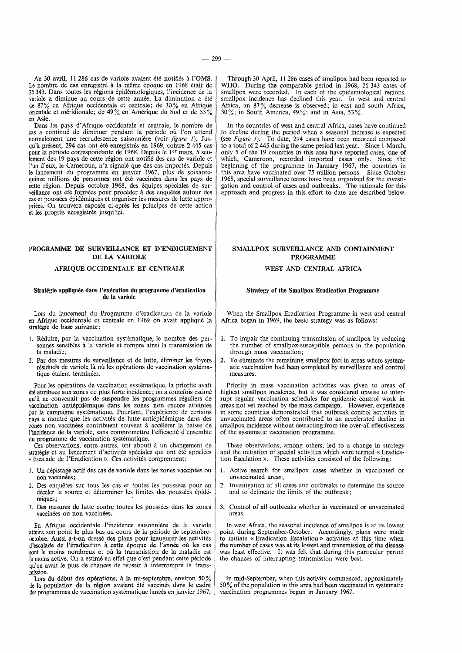Au 30 avril, 11 286 cas de variole avaient ete notifies a !'OMS. Le nombre de cas enregistré à la même époque en 1968 était de 25 343. Dans toutes les regions epidemiologiques, !'incidence de Ia variole a diminué au cours de cette année. La diminution a été de 87% en Afrique occidentale et centrale; de 30% en Afrique orientale et méridionale; de 49% en Amérique du Sud et de 53% en Asie.

Dans les pays d'Afrique occidentale et centrale, le nombre de cas a continué de diminuer pendant la période où l'on attend normalement une recrudescence saisonniere (voir *figure I).* Jusqu'à présent, 294 cas ont été enregistrés en 1969, cohtre 2 445 cas pour Ia periode correspondante de 1968. Depuis le Jer mars, *5* seulement des 19 pays de cette region ont notifie des cas de variole et l'un d'eux, le Cameroun, n'a signale que des cas importes. Depuis le lancement du programme en janvier 1967, plus de soixantequinze millions de personnes ont été vaccinées dans les pays de cette région. Depuis octobre 1968, des équipes spéciales de surveillance ont été formées pour procéder à des enquêtes autour des cas et poussées épidémiques et organiser les mesures de lutte appropriées. On trouvera exposés ci-après les principes de cette action et les progres enregistres jusqu'ici.

#### PROGRAMME DE SURVEILLANCE ET D'ENDIGUEMENT DE LA VARIOLE

#### AFRIQUE OCCIDENTALE ET CENTRALE

#### Stratégie appliquée dans l'exécution du programme d'éradication de Ia variole

Lors du lancement du Programme d'éradication de la variole en Afrique occidentale et centrale en 1969 on avait applique Ia stratégie de base suivante:

- 1. R6duire, par Ia vaccination systematique, le nombre des personnes sensibles a Ia variole et rompre ainsi Ia transmission de Ia maladie;
- 2. Par des mesures de surveillance et de lutte, éliminer les foyers résiduels de variole là où les opérations de vaccination systématique étaient terminées.

Pour les opérations de vaccination systématique, la priorité avait été attribuée aux zones de plus forte incidence; on a toutefois estimé qu'il ne convenait pas de suspendre les programmes reguliers de vaccination antiepidemique dans les zones non encore atteintes par Ia campagne systematique. Pourtant, !'experience de certains pays a montré que les activités de lutte antiépidémique dans des zones non vaccinées contribuent souvent à accélérer la baisse de l'incidence de la variole, sans compromettre l'efficacité d'ensemble du programme de vaccination systematique.

Ces observations, entre autres, ont abouti a un changement de stratégie et au lancement d'activités spéciales qui ont été appelées «Escalade de !'Eradication». Ces activites comprennent:

- 1. Un depistage actif des cas de variole dans les zones vaccinees ou non vaccinées;
- 2. Des enquêtes sur tous les cas et toutes les poussées pour en deceler Ia source et determiner les limites des poussees epidemiques;
- 3. Des mesures de lutte contre toutes les poussees dans les zones vaccinées ou non vaccinées.

En Afrique occidentale !'incidence saisonniere de Ia variole atteint son point le plus bas au cours de Ia periode de septembreoctobre. Aussi a-t-on dresse des plans pour inaugurer les activites d'escalade de !'eradication a cette epoque de l'annee ou les cas sont le moins nombreux et où la transmission de la maladie est la moins active. On a estimé en effet que c'est pendant cette période qu'on avait le plus de chances de reussir a interrompre Ia trans-

mission. Lors du debut des operations, a Ia mi-septembre, environ 50% de la population de la région avaient été vaccinés dans le cadre des programmes de vaccination systematique lances en janvier 1967.

Through 30 April, 11 286 cases of smallpox had been reported to WHO. During the comparable period in 1968, 25 343 cases of smallpox were recorded. In each of the epidemiological regions, smallpox incidence has declined this year. In west and central Africa, an 87% decrease is observed; in east and south Africa,  $30\%$ ; in South America,  $49\%$ ; and in Asia,  $53\%$ .

In the countries of west and central Africa, cases have continued to decline during the period when a seasonal increase is expected (see *Figure I).* To date, 294 cases have been recorded compared to a total of 2 445 during the same period last year. Since 1 March, only *5* of the 19 countries in this area have reported cases, one of which, Cameroon, recorded imported cases only. Since the beginning of the programme in January 1967, the countries in this area have vaccinated over *75* million persons. Since October 1968, special surveillance teams have been organized for the investigation and control of cases and outbreaks. The rationale for this approach and progress in this effort to date are described below.

#### SMALLPOX SURVEILLANCE AND CONTAINMENT PROGRAMME

### WEST AND CENTRAL AFRICA

#### Strategy of the Smallpox Eradication Programme

When the Smallpox Eradication Programme in west and central Africa began in 1969, the basic strategy was as follows:

- 1. To impair the continuing transmission of smallpox by reducing the number of smallpox-susceptible persons in the population through mass vaccination;
- 2. To eliminate the remaining smallpox foci in areas where systematic vaccination had been completed by surveillance and control measures.

Priority in mass vaccination activities was given to areas of highest smallpox incidence, but it was considered unwise to interrupt regular vaccination schedules for epidemic control work in areas not yet reached by the mass campaign. However, experience in some countries demonstrated that outbreak control activities in unvaccinated areas often contributed to an accelerated decline in smallpox incidence without detracting from the over-all effectiveness of the systematic vaccination programme.

These observations, among others, led to a change in strategy and the initiation of special activities which were termed « Eradication Escalation». These activities consisted of the following:

- I. Active search for smallpox cases whether in vaccinated or unvaccinated areas;
- 2. Investigation of all cases and outbreaks to determine the source and to delineate the limits of the outbreak;
- 3. Control of *all* outbreaks whether in vaccinated or unvaccinated areas.

In west Africa, the seasonal incidence of smallpox is at its lowest point during September-October. Accordingly, plans were made to initiate « Eradication Escalation » activities at this time when the number of cases was at its lowest and transmission of the disease was least effective. It was felt that during this particular period the chances of interrupting transmission were best.

In mid-September, when this activity commenced, approximately 50% of the population in this area had been vaccinated in systematic vaccination programmes begun in January 1967.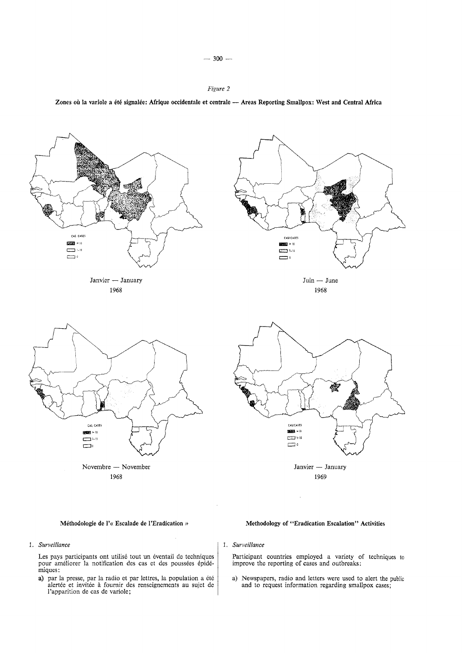



*1. Surveillance* 

Les pays participants ont utilisé tout un éventail de techniques pour ameliorer Ia notification des cas et des poussees epidemiques:

a) par la presse, par la radio et par lettres, la population a été alertee et invitee a fournir des renseignements au sujet de l'apparition de cas de variole;



*1. Surveillance* 

Participant countries employed a variety of techniques to improve the reporting of cases and outbreaks:

a) Newspapers, radio and letters were used to alert the public and to request information regarding smallpox cases;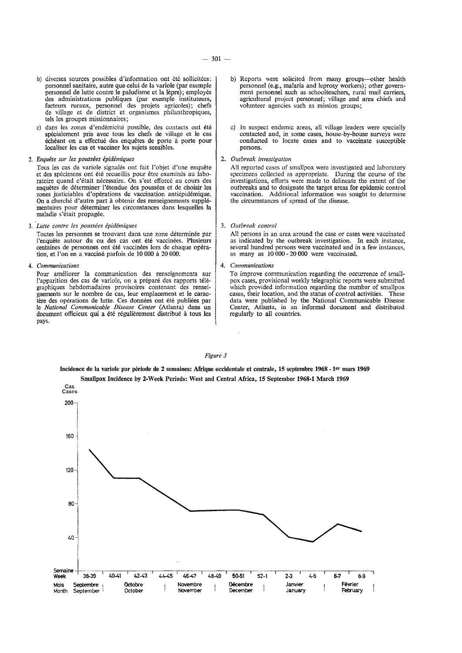- b) diverses sources possibles d'information ont été sollicitées: personnel sanitaire, autre que celui de Ia variole (par exemple personnel de lutte contre le paludisme et Ia Iepre); employes des administrations publiques (par exemple instituteurs, facteurs ruraux, personnel des projets agricoles); chefs de village et de district et organismes philanthropiques, tels les groupes missionnaires;
- c) dans les zones d'endémicité possible, des contacts ont été spécialement pris avec tous les chefs de village et le cas échéant on a effectué des enquêtes de porte à porte pour localiser les cas et vacciner les sujets sensibles.

2. *Enquete sur les poussees epidemiques* 

- Tous les cas de variole signalés ont fait l'objet d'une enquête et des specimens ont ete recueillis pour etre examines au laboratoire quand c'etait necessaire. On s'est efforce au cours des enquêtes de déterminer l'étendue des poussées et de choisir les zones justiciables d'opérations de vaccination antiépidémique. On a cherché d'autre part à obtenir des renseignements supplémentaires pour determiner les circonstances dans lesquelles Ia maladie s'était propagée.
- 3. *·Lutte contre les poussees epidemiques*

Toutes les personnes se trouvant dans une zone determinee par l'enquête autour du ou des cas ont été vaccinées. Plusieurs centaines de personnes ont été vaccinées lors de chaque opération, et l'on en a vaccine parfois de 10 000 a 20 000.

4. *Communications* 

Pour ameliorer Ia communication des renseignements sur l'apparition des cas de variole, on a préparé des rapports télégraphiques hebdomadaires provisoires contenant des renseignements sur le nombre de cas, leur emplacement et le caractère des opérations de lutte. Ces données ont été publiées par le *National Communicable Disease Center* (Atlanta) dans un document officieux qui a été régulièrement distribué à tous les pays.

- b) Reports were solicited from many groups-other health personnel (e.g., malaria and leprosy workers); other government personnel such as schoolteachers, rural mail carriers, agricultural project personnel; village and area chiefs and volunteer agencies such as mission groups;
- c) In suspect endemic areas, all village leaders were specially contacted and, in some cases, house-by-house surveys were conducted to locate cases and to vaccinate susceptible persons.

#### 2. *Outbreak investigation*

All reported cases of smallpox were investigated and laboratory specimens collected as appropriate. During the course of the investigations, efforts were made to delineate the extent of the outbreaks and to designate the target areas for epidemic control vaccination. Additional information was sought to determine the circumstances of spread of the disease.

3. *Outbreak control* 

All persons in an area around the case or cases were vaccinated as indicated by the outbreak investigation. In each instance, several hundred persons were vaccinated and in a few instances, as many as 10 000-20 000 were vaccinated.

#### 4. *Communications*

To improve communication regarding the occurrence of smallpox cases, provisional weekly telegraphic reports were submitted which provided information regarding the number of smallpox cases, their location, and the status of control activities. These data were published by the National Communicable Disease Center, Atlanta, in an informal document and distributed regularly to all countries.

#### *Figure 3*

Incidence de la variole par période de 2 semaines: Afrique occidentale et centrale, 15 septembre 1968 - 1<sup>er</sup> mars 1969 Smallpox Incidence by 2-Week Periods: West and Central Africa, 15 September 1968-1 March 1969

Cas Cases 200 160 120 80 40 ~ne4------.------.-----.------.------,-----,------,-----,------.------.----~-----.  $W<sub>o</sub> = 38-39$   $40-41$ 42-43  $44-45$   $46-47$ 48-49 50-51  $52-1$  2-3 4-5 6-7 8-9 Octobre Novembre **Décembre** Janvier Février Mois Septembre<br>Month September J October November December .January February September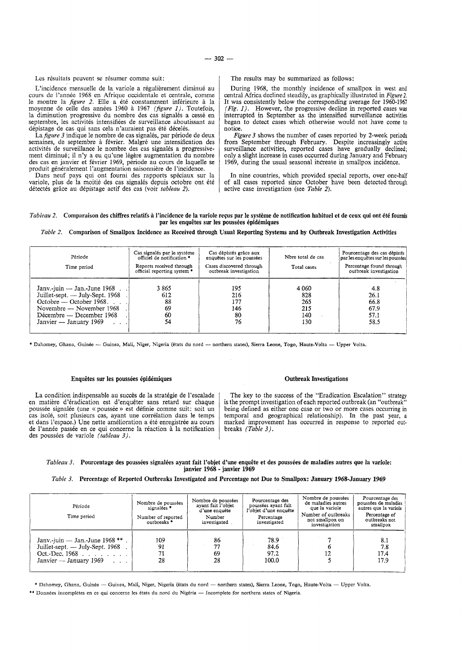Les résultats peuvent se résumer comme suit:

L'incidence mensuelle de la variole a régulièrement diminué au cours de l'annee 1968 en Afrique occidentale et centrale, comme le montre la *figure 2*. Elle a été constamment inférieure à la moyenne de celle des années 1960 à 1967 *(figure 1)*. Toutefois, la diminution progressive du nombre des cas signalés a cessé en septembre, les activites intensifiees de surveillance aboutissant au depistage de cas qui sans cela n'auraient pas ete deceles.

La *figure 3* indique le nombre de cas signalés, par période de deux semaines, de septembre à février. Malgré une intensification des activités de surveillance le nombre des cas signalés a progressivement diminué; il n'y a eu qu'une légère augmentation du nombre des cas en janvier et février 1969, période au cours de laquelle se produit généralement l'augmentation saisonnière de l'incidence.

Dans neuf pays qui ont fourni des rapports speciaux sur la variole, plus de la moitié des cas signalés depuis octobre ont été détectés grâce au dépistage actif des cas (voir *tableau 2*).

The results may be summarized as follows:

During 1968, the monthly incidence of smallpox in west and central Africa declined steadily, as graphically illustrated in *Figure 2.*  It was consistently below the corresponding average for 1960-1967 *(Fig. 1).* However, the progressive decline in reported cases *was*  interrupted in September as the intensified surveillance activities began to detect cases which otherwise would not have come to notice.

*Figure 3* shows the number of cases reported by 2-week periods from September through February. Despite increasingly active surveillance activities, reported cases have gradually declined; only a slight increase in cases occurred during January and February 1969, during the usual seasonal increase in smallpox incidence.

In nine countries, which provided special reports, over one-half of all cases reported since October have been detected through active case investigation (see *Table 2).* 

#### *Tableau 2.* Comparaison des chiffres relatifs à l'incidence de la variole reçus par le système de notification habituel et de ceux qui ont été fournis par les enquêtes sur les poussées épidémiques

*Table 2.* Comparison of Smallpox Incidence as Received through Usual Reporting Systems and by Outbreak Investigation Activities

| Période<br>Time period          | Cas signalés par le système<br>officiel de notification *<br>Reports received through<br>official reporting system * | Cas dépistés grâce aux<br>enquêtes sur les poussées<br>Cases discovered through<br>outbreak investigation | Nore total de cas<br>Total cases | Pourcentage des cas dépistés<br>par les enquêtes sur les poussées<br>Percentage found through<br>outbreak investigation |
|---------------------------------|----------------------------------------------------------------------------------------------------------------------|-----------------------------------------------------------------------------------------------------------|----------------------------------|-------------------------------------------------------------------------------------------------------------------------|
| Janv.-juin $-$ Jan.-June 1968.  | 3865                                                                                                                 | 195                                                                                                       | 4 0 6 0                          | 4.8                                                                                                                     |
| Juillet-sept. — July-Sept. 1968 | 612                                                                                                                  | 216                                                                                                       | 828                              | 26.1                                                                                                                    |
| $October - October 1968$        | 88                                                                                                                   | 177                                                                                                       | 265                              | 66.8                                                                                                                    |
| Novembre — November 1968        | 69                                                                                                                   | 146                                                                                                       | 215                              | 67.9                                                                                                                    |
| Décembre — December 1968        | -60                                                                                                                  | 80                                                                                                        | 140                              | 57.1                                                                                                                    |
| Janvier — January 1969          | 54                                                                                                                   | 76                                                                                                        | 130                              | 58.5                                                                                                                    |

\* Dahomey, Ghana, Guinée -- Guinea, Mali, Niger, Nigeria (états du nord -- northern states), Sierra Leone, Togo, Haute-Volta -- Upper Volta.

#### Enquêtes sur les poussées épidémiques

La condition indispensable au succès de la stratégie de l'escalade en matière d'éradication est d'enquêter sans retard sur chaque poussée signalée (une « poussée » est définie comme suit: soit un cas isole, soit plusieurs cas, ayant une correlation dans le temps et dans l'espace.) Une nette amélioration a été enregistrée au cours de l'année passée en ce qui concerne la réaction à la notification des poussées de variole *(tableau 3)*.

#### Outbreak Investigations

The key to the success of the "Eradication Escalation" strategy is the prompt investigation of each reported outbreak (an "outbreak" being defmed as either one case or two or more cases occurring in temporal and geographical relationship). In the past year, a marked improvement has occurred in response to reported outbreaks *(Table 3).* 

#### *Tableau 3.* Pourcentage des poussées signalées ayant fait l'objet d'une enquête et des poussées de maladies autres que la variole: janvier 1968 - janvier 1969

#### *Table 3.* Percentage of Reported Outbreaks Investigated and Percentage not Due to Smallpox: January 1968-January 1969

| Période<br>Time period                                                                                                                       | Nombre de poussées<br>signalées *<br>Number of reported<br>outbreaks <sup>*</sup> | Nombre de poussées<br>ayant fait l'obiet<br>d'une enquête<br>Number<br>investigated | Pourcentage des<br>poussées ayant fait<br>l'objet d'une enquête<br>Percentage<br>investigated | Nombre de poussées<br>de maladies autres<br>que la variole<br>Number of outbreaks<br>not smallpox on<br>investigation | Pourcentage des<br>poussées de maladies<br>autres que la variole<br>Percentage of<br>outbreaks not<br>smallpox |
|----------------------------------------------------------------------------------------------------------------------------------------------|-----------------------------------------------------------------------------------|-------------------------------------------------------------------------------------|-----------------------------------------------------------------------------------------------|-----------------------------------------------------------------------------------------------------------------------|----------------------------------------------------------------------------------------------------------------|
| Janv.-juin — Jan.-June 1968 **.<br>Juillet-sept. — July-Sept. 1968<br>Oct.-Dec. $1968$<br>Janvier — January 1969<br><b>Contract Contract</b> | 109<br>'91<br>71<br>28                                                            | 86<br>69<br>28                                                                      | 78.9<br>84.6<br>97.2<br>100.0                                                                 |                                                                                                                       | 8.1<br>7.8<br>17.4<br>17.9                                                                                     |

\* Dahomey, Ghana, Guinée — Guinea, Mali, Niger, Nigeria (états du nord — northern states), Sierra Leone, Togo, Haute-Volta — Upper Volta.

\*\* Données incomplètes en ce qui concerne les états du nord du Nigéria — Incomplete for northern states of Nigeria.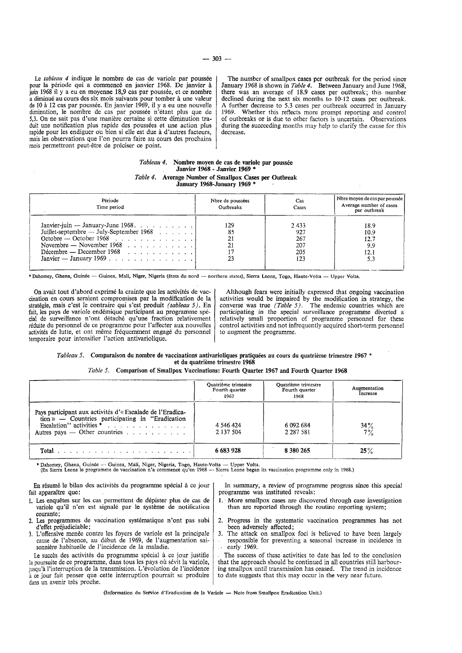Le *tableau* 4 indique le nombre de cas de variole par poussée pour la période qui a commencé en janvier 1968. De janvier à juin 1968 il y a eu en movenne 18.9 cas par poussée, et ce nombre juin 1968 il y a eu en moyenne 18,9 cas par poussee, et ce nombre a diminue au cours des six mois suivants pour tomber a une valeur de 10 à 12 cas par poussée. En janvier 1969, il y a eu une nouvelle diminution, le nombre de cas par poussée n'étant plus que de 5,3. On ne sait pas d'une maniere certaine si cette diminution traduit une notification plus rapide des poussees et une action plus rapide pour les endiguer ou bien si elle est due a d 'autres facteurs, mais les observations que !'on pourra faire au cours des prochains mois permettront peut-etre de preciser ce point.

The number of smallpox cases per outbreak for the period since January 1968 is shown in *Table 4.* Between January and June 1968, there was an average of 18.9 cases per outbreak; this number declined during the next six months to 10-12 cases per outbreak. A further decrease to 5.3 cases per outbreak occurred in January 1969. Whether this reflects more prompt reporting and control of outbreaks or is due to other factors is uncertain. Observations during the succeeding months may help to clarify the cause for this decrease.

#### *Tableau 4.* Nombre moyen de cas de variole par poussée Janvier 1968 - Janvier. 1969 \* *Table 4.* Average Number of Smallpox Cases per Outbreak January 1968-January 1969 \*

| Période<br>Time period                                                                                                                                                                             | Nbre de poussées<br>Outbreaks | Cas.<br>Cases                           | Nbre moyen de cas par poussée  <br>Average number of cases<br>per outbreak |
|----------------------------------------------------------------------------------------------------------------------------------------------------------------------------------------------------|-------------------------------|-----------------------------------------|----------------------------------------------------------------------------|
| Janvier-juin — January-June 1968.<br>Juillet-septembre — July-September 1968<br>Novembre — November 1968<br>Décembre — December 1968 $\ldots$ $\ldots$ $\ldots$ $\ldots$<br>Janvier — January 1969 | 129<br>85<br>21               | 2433<br>927<br>267<br>207<br>205<br>123 | 18.9<br>10.9<br>12.7<br>9.9<br>12.1                                        |

\*Dahomey, Ghana, Guinée -- Guinea, Mali, Niger, Nigeria (états du nord -- northern states), Sierra Leone, Togo, Haute-Volta -- Upper Volta.

On avait tout d'abord exprimé la crainte que les activités de vaccination en cours seraient compromises par Ia modification de Ia stratégie, mais c'est le contraire qui s'est produit *(tableau 5)*. En fait, les pays de variole endemique participant au programme special de surveillance n'ont detache qu'une fraction relativement reduite du personnel de ce programme pour l'affecter aux nouvelles activités de lutte, et ont même fréquemment engagé du personnel temporaire pour intensifier !'action antivariolique.

Although fears were initially expressed that ongoing vaccination activities would be impaired by the modification in strategy, the converse was true *(Table 5).* The endemic countries which are participating in the special surveillance programme diverted a relatively small proportion of programme personnel for these control activities and not infrequently acquired short-term personnel to augment the programme.

#### *Tableau 5.* Comparaison du nombre de vaccinations antivarioliques pratiquees au cours du quatrieme trimestre 1967 \* et du quatrieme trimestre 1968

## *Table 5.* Comparison of Smallpox Vaccinations: Fourth Quarter 1967 and Fourth Quarter 1968

|                                                                                                                                                                                | Quatrième trimestre<br>Fourth quarter<br>1967 | Quatrième trimestre<br>Fourth quarter<br>1968 | Augmentation<br>Increase |
|--------------------------------------------------------------------------------------------------------------------------------------------------------------------------------|-----------------------------------------------|-----------------------------------------------|--------------------------|
| Pays participant aux activités d'« Escalade de l'Eradica-<br>$\phi$ ion » — Countries participating in "Eradication"<br>Autres pays $\sim$ Other countries $\ldots$ , $\ldots$ | 4 546 424<br>2 137 504                        | 6 092 684<br>2 2 8 7 5 8 1                    | $34\frac{9}{2}$          |
|                                                                                                                                                                                | 6 683 928                                     | 8 380 265                                     | 25%                      |

• Dahomey, Ghana, Guinee - Guinea, Mali, Niger, Nigeria, Togo, Haute-Volta - Upper Volta. (En Sierra Leone le programme de vaccination n'a commence qu'en 1968 - Sierra Leone began its vaccination programme only in 1968.)

En résumé le bilan des activités du programme spécial à ce jour fait apparaitre que:

- 1. Les enquêtes sur les cas permettent de dépister plus de cas de variole qu'il n'en est signale par le systeme de notification courante;
- Les programmes de vaccination systématique n'ont pas subi d 'etfet prejudiciable;
- 3. L'otfensive menee contre les foyers de variole est Ia principale cause de !'absence, au debut de 1969, de !'augmentation saisonniere habituelle de !'incidence de la maladie.

Le succès des activités du programme spécial à ce jour justifie la poursuite de ce programme, dans tous les pays où sévit la variole, jusqu'à l'interruption de la transmission. L'évolution de l'incidence à ce jour fait penser que cette interruption pourrait se produire dans un avenir très proche.

In summary, a review of programme progress since this special programme was instituted reveals:

- 1. More smallpox cases are discovered through case investigation than arc reported through the routine reporting system;
- Progress in the systematic vaccination programmes has not been adversely affected;
- 3. The attack on smallpox foci is believed to have been largely responsible for preventing a seasonal increase in incidence in early 1969.

The success of these activities to date has led to the conclusion that the approach should be continued in all countries still harbouring smallpox until transmission has ceased. The trend in incidence to date suggests that this may occur in the very near future.

(Information du Service d'Eradication de la Variole - Note from Smallpox Eradication Unit.)